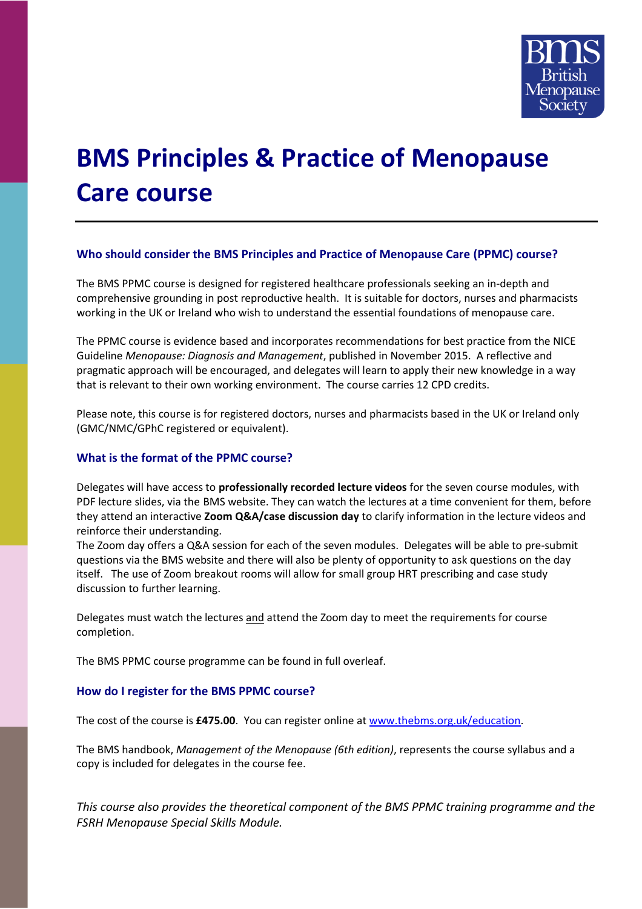

# **BMS Principles & Practice of Menopause Care course**

# **Who should consider the BMS Principles and Practice of Menopause Care (PPMC) course?**

The BMS PPMC course is designed for registered healthcare professionals seeking an in-depth and comprehensive grounding in post reproductive health. It is suitable for doctors, nurses and pharmacists working in the UK or Ireland who wish to understand the essential foundations of menopause care.

The PPMC course is evidence based and incorporates recommendations for best practice from the NICE Guideline *Menopause: Diagnosis and Management*, published in November 2015. A reflective and pragmatic approach will be encouraged, and delegates will learn to apply their new knowledge in a way that is relevant to their own working environment. The course carries 12 CPD credits.

Please note, this course is for registered doctors, nurses and pharmacists based in the UK or Ireland only (GMC/NMC/GPhC registered or equivalent).

# **What is the format of the PPMC course?**

Delegates will have access to **professionally recorded lecture videos** for the seven course modules, with PDF lecture slides, via the BMS website. They can watch the lectures at a time convenient for them, before they attend an interactive **Zoom Q&A/case discussion day** to clarify information in the lecture videos and reinforce their understanding.

The Zoom day offers a Q&A session for each of the seven modules. Delegates will be able to pre-submit questions via the BMS website and there will also be plenty of opportunity to ask questions on the day itself. The use of Zoom breakout rooms will allow for small group HRT prescribing and case study discussion to further learning.

Delegates must watch the lectures and attend the Zoom day to meet the requirements for course completion.

The BMS PPMC course programme can be found in full overleaf.

# **How do I register for the BMS PPMC course?**

The cost of the course is **£475.00**. You can register online at [www.thebms.org.uk/education.](http://www.thebms.org.uk/education)

The BMS handbook, *Management of the Menopause (6th edition)*, represents the course syllabus and a copy is included for delegates in the course fee.

*This course also provides the theoretical component of the BMS PPMC training programme and the FSRH Menopause Special Skills Module.*